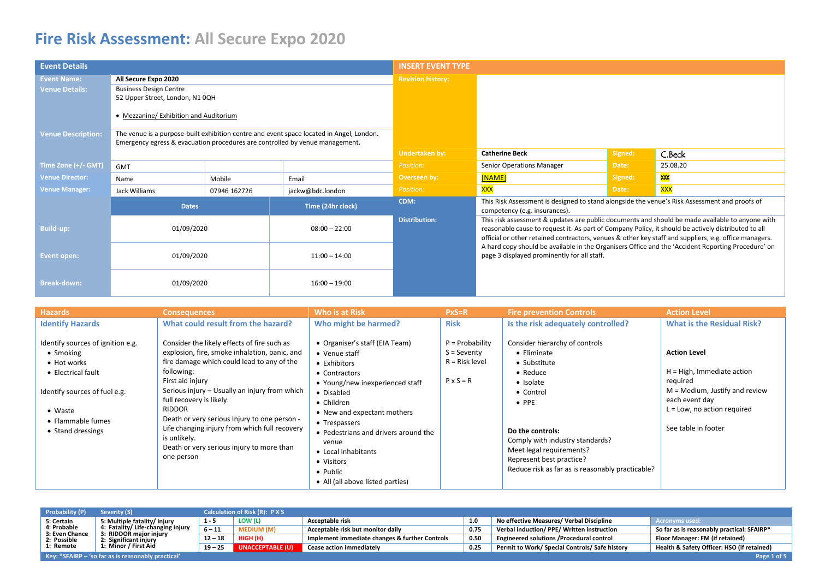| <b>Event Details</b>      |                                                                              |              |                                                                                          | <b>INSERT EVENT TYPE</b> |                                                                                                                                                                                                                                                                                                                 |         |               |
|---------------------------|------------------------------------------------------------------------------|--------------|------------------------------------------------------------------------------------------|--------------------------|-----------------------------------------------------------------------------------------------------------------------------------------------------------------------------------------------------------------------------------------------------------------------------------------------------------------|---------|---------------|
| <b>Event Name:</b>        | All Secure Expo 2020                                                         |              |                                                                                          | <b>Revision history:</b> |                                                                                                                                                                                                                                                                                                                 |         |               |
| <b>Venue Details:</b>     | <b>Business Design Centre</b>                                                |              |                                                                                          |                          |                                                                                                                                                                                                                                                                                                                 |         |               |
|                           | 52 Upper Street, London, N1 0QH                                              |              |                                                                                          |                          |                                                                                                                                                                                                                                                                                                                 |         |               |
|                           | • Mezzanine/ Exhibition and Auditorium                                       |              |                                                                                          |                          |                                                                                                                                                                                                                                                                                                                 |         |               |
| <b>Venue Description:</b> |                                                                              |              | The venue is a purpose-built exhibition centre and event space located in Angel, London. |                          |                                                                                                                                                                                                                                                                                                                 |         |               |
|                           | Emergency egress & evacuation procedures are controlled by venue management. |              |                                                                                          |                          |                                                                                                                                                                                                                                                                                                                 |         |               |
|                           |                                                                              |              |                                                                                          | <b>Undertaken by:</b>    | <b>Catherine Beck</b>                                                                                                                                                                                                                                                                                           | Signed: | C.Beck        |
| Time Zone (+/- GMT)       | <b>GMT</b>                                                                   |              |                                                                                          | Position:                | Senior Operations Manager                                                                                                                                                                                                                                                                                       | Date:   | 25.08.20      |
| <b>Venue Director:</b>    | Name                                                                         | Mobile       | Email                                                                                    | Overseen by:             | [NAME]                                                                                                                                                                                                                                                                                                          | Signed: | $\frac{1}{2}$ |
| <b>Venue Manager:</b>     | Jack Williams                                                                | 07946 162726 | jackw@bdc.london                                                                         | Position:                | <b>XXX</b>                                                                                                                                                                                                                                                                                                      | Date:   | <b>XXX</b>    |
|                           | <b>Dates</b>                                                                 |              | Time (24hr clock)                                                                        | CDM:                     | This Risk Assessment is designed to stand alongside the venue's Risk Assessment and proofs of<br>competency (e.g. insurances).                                                                                                                                                                                  |         |               |
| <b>Build-up:</b>          | 01/09/2020                                                                   |              | $08:00 - 22:00$                                                                          | <b>Distribution:</b>     | This risk assessment & updates are public documents and should be made available to anyone with<br>reasonable cause to request it. As part of Company Policy, it should be actively distributed to all<br>official or other retained contractors, venues & other key staff and suppliers, e.g. office managers. |         |               |
| Event open:               | 01/09/2020<br>$11:00 - 14:00$                                                |              |                                                                                          |                          | A hard copy should be available in the Organisers Office and the 'Accident Reporting Procedure' on<br>page 3 displayed prominently for all staff.                                                                                                                                                               |         |               |
| <b>Break-down:</b>        | 01/09/2020<br>$16:00 - 19:00$                                                |              |                                                                                          |                          |                                                                                                                                                                                                                                                                                                                 |         |               |

| <b>Hazards</b>                                                                                                                                                                    | <b>Consequences</b>                                                                                                                                                                                                                                                                                                                                                                                                                                    | Who is at Risk                                                                                                                                                                                                                                                                                                                        | $PxS=R$                                                                     | <b>Fire prevention Controls</b>                                                                                                                                                                                                                                                                 | <b>Action Level</b>                                                                                                                                                              |
|-----------------------------------------------------------------------------------------------------------------------------------------------------------------------------------|--------------------------------------------------------------------------------------------------------------------------------------------------------------------------------------------------------------------------------------------------------------------------------------------------------------------------------------------------------------------------------------------------------------------------------------------------------|---------------------------------------------------------------------------------------------------------------------------------------------------------------------------------------------------------------------------------------------------------------------------------------------------------------------------------------|-----------------------------------------------------------------------------|-------------------------------------------------------------------------------------------------------------------------------------------------------------------------------------------------------------------------------------------------------------------------------------------------|----------------------------------------------------------------------------------------------------------------------------------------------------------------------------------|
| <b>Identify Hazards</b>                                                                                                                                                           | What could result from the hazard?                                                                                                                                                                                                                                                                                                                                                                                                                     | Who might be harmed?                                                                                                                                                                                                                                                                                                                  | <b>Risk</b>                                                                 | Is the risk adequately controlled?                                                                                                                                                                                                                                                              | <b>What is the Residual Risk?</b>                                                                                                                                                |
| Identify sources of ignition e.g.<br>• Smoking<br>• Hot works<br>• Electrical fault<br>Identify sources of fuel e.g.<br>$\bullet$ Waste<br>• Flammable fumes<br>• Stand dressings | Consider the likely effects of fire such as<br>explosion, fire, smoke inhalation, panic, and<br>fire damage which could lead to any of the<br>following:<br>First aid injury<br>Serious injury - Usually an injury from which<br>full recovery is likely.<br><b>RIDDOR</b><br>Death or very serious Injury to one person -<br>Life changing injury from which full recovery<br>is unlikely.<br>Death or very serious injury to more than<br>one person | • Organiser's staff (EIA Team)<br>• Venue staff<br>• Exhibitors<br>• Contractors<br>• Young/new inexperienced staff<br>• Disabled<br>• Children<br>• New and expectant mothers<br>• Trespassers<br>• Pedestrians and drivers around the<br>venue<br>• Local inhabitants<br>• Visitors<br>• Public<br>• All (all above listed parties) | $P = Probability$<br>$S =$ Severity<br>$R =$ Risk level<br>$P \times S = R$ | Consider hierarchy of controls<br>• Eliminate<br>• Substitute<br>$\bullet$ Reduce<br>• Isolate<br>• Control<br>$\bullet$ PPE<br>Do the controls:<br>Comply with industry standards?<br>Meet legal requirements?<br>Represent best practice?<br>Reduce risk as far as is reasonably practicable? | <b>Action Level</b><br>$H = High$ , Immediate action<br>required<br>$M = Medium$ , Justify and review<br>each event day<br>$L = Low$ , no action required<br>See table in footer |

| <b>Probability (P)</b>        | Severity (S)                                                               |           | <b>Calculation of Risk (R): P X S</b> |                                                |      |                                                  |                                            |  |  |  |
|-------------------------------|----------------------------------------------------------------------------|-----------|---------------------------------------|------------------------------------------------|------|--------------------------------------------------|--------------------------------------------|--|--|--|
| 5: Certain                    | 5: Multiple fatality/ injury                                               | $1 - 5$   | LOW (L)                               | Acceptable risk                                |      | No effective Measures/ Verbal Discipline         | Acronyms used:                             |  |  |  |
| 4: Probable<br>3: Even Chance | 4: Fatality/ Life-changing injury<br>3: RIDDOR major injury                |           | <b>MEDIUM (M)</b>                     | Acceptable risk but monitor daily              | 0.75 | Verbal induction/ PPE/ Written instruction       | So far as is reasonably practical: SFAIRP* |  |  |  |
| 2: Possible                   | 2: Significant injury                                                      | $12 - 18$ | HIGH (H)                              | Implement immediate changes & further Controls | 0.50 | <b>Engineered solutions / Procedural control</b> | Floor Manager: FM (if retained)            |  |  |  |
| 1: Remote                     | 1: Minor / First Aid                                                       | $19 - 25$ | UNACCEPTABLE (U)                      | <b>Cease action immediately</b>                | 0.25 | Permit to Work/ Special Controls/ Safe history   | Health & Safety Officer: HSO (if retained) |  |  |  |
|                               | <b>Key: *SFAIRP</b> $-$ 'so far as is reasonably practical'<br>Page 1 of 5 |           |                                       |                                                |      |                                                  |                                            |  |  |  |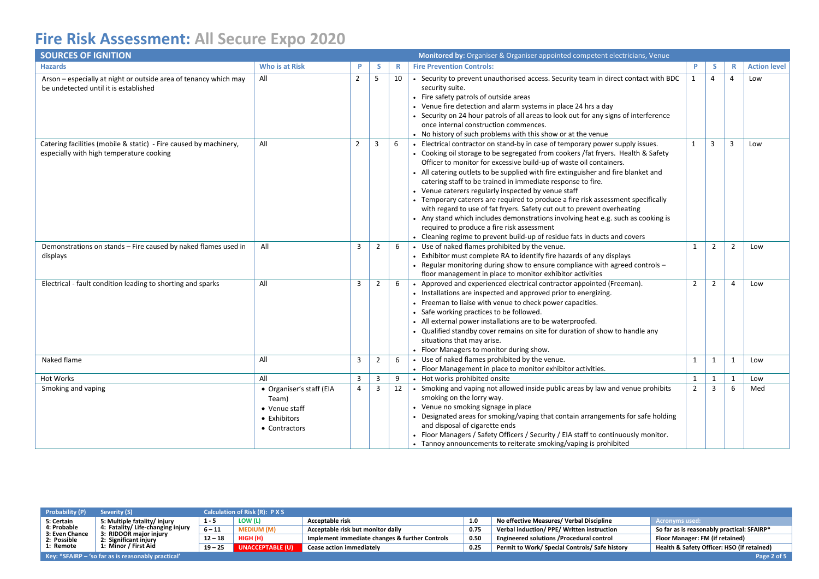| <b>SOURCES OF IGNITION</b>                                                                                    |                                                                                     |                |                |    | Monitored by: Organiser & Organiser appointed competent electricians, Venue                                                                                                                                                                                                                                                                                                                                                                                                                                                                                                                                                                                                                                                                                                                                                     |                |                |                |                     |
|---------------------------------------------------------------------------------------------------------------|-------------------------------------------------------------------------------------|----------------|----------------|----|---------------------------------------------------------------------------------------------------------------------------------------------------------------------------------------------------------------------------------------------------------------------------------------------------------------------------------------------------------------------------------------------------------------------------------------------------------------------------------------------------------------------------------------------------------------------------------------------------------------------------------------------------------------------------------------------------------------------------------------------------------------------------------------------------------------------------------|----------------|----------------|----------------|---------------------|
| <b>Hazards</b>                                                                                                | Who is at Risk                                                                      | P              | s              | R  | <b>Fire Prevention Controls:</b>                                                                                                                                                                                                                                                                                                                                                                                                                                                                                                                                                                                                                                                                                                                                                                                                | P              | -S             | R              | <b>Action level</b> |
| Arson – especially at night or outside area of tenancy which may<br>be undetected until it is established     | All                                                                                 | $\overline{2}$ | 5              | 10 | • Security to prevent unauthorised access. Security team in direct contact with BDC<br>security suite.<br>• Fire safety patrols of outside areas<br>• Venue fire detection and alarm systems in place 24 hrs a day<br>• Security on 24 hour patrols of all areas to look out for any signs of interference<br>once internal construction commences.<br>• No history of such problems with this show or at the venue                                                                                                                                                                                                                                                                                                                                                                                                             | $\mathbf{1}$   | $\overline{4}$ | $\overline{4}$ | Low                 |
| Catering facilities (mobile & static) - Fire caused by machinery,<br>especially with high temperature cooking | All                                                                                 | $2^{\circ}$    | 3              | 6  | Electrical contractor on stand-by in case of temporary power supply issues.<br>• Cooking oil storage to be segregated from cookers / fat fryers. Health & Safety<br>Officer to monitor for excessive build-up of waste oil containers.<br>• All catering outlets to be supplied with fire extinguisher and fire blanket and<br>catering staff to be trained in immediate response to fire.<br>• Venue caterers regularly inspected by venue staff<br>• Temporary caterers are required to produce a fire risk assessment specifically<br>with regard to use of fat fryers. Safety cut out to prevent overheating<br>• Any stand which includes demonstrations involving heat e.g. such as cooking is<br>required to produce a fire risk assessment<br>• Cleaning regime to prevent build-up of residue fats in ducts and covers | $\mathbf{1}$   | 3              | 3              | Low                 |
| Demonstrations on stands - Fire caused by naked flames used in<br>displays                                    | All                                                                                 | 3              | $\overline{2}$ | 6  | • Use of naked flames prohibited by the venue.<br>• Exhibitor must complete RA to identify fire hazards of any displays<br>• Regular monitoring during show to ensure compliance with agreed controls -<br>floor management in place to monitor exhibitor activities                                                                                                                                                                                                                                                                                                                                                                                                                                                                                                                                                            | 1              | $\overline{2}$ | $\overline{2}$ | Low                 |
| Electrical - fault condition leading to shorting and sparks                                                   | All                                                                                 | 3              | 2              | 6  | • Approved and experienced electrical contractor appointed (Freeman).<br>• Installations are inspected and approved prior to energizing.<br>• Freeman to liaise with venue to check power capacities.<br>• Safe working practices to be followed.<br>• All external power installations are to be waterproofed.<br>Qualified standby cover remains on site for duration of show to handle any<br>situations that may arise.<br>• Floor Managers to monitor during show.                                                                                                                                                                                                                                                                                                                                                         | $\overline{2}$ | $\overline{2}$ | $\overline{a}$ | Low                 |
| Naked flame                                                                                                   | All                                                                                 | 3              | $\overline{2}$ | 6  | • Use of naked flames prohibited by the venue.<br>• Floor Management in place to monitor exhibitor activities.                                                                                                                                                                                                                                                                                                                                                                                                                                                                                                                                                                                                                                                                                                                  | 1              | $\mathbf{1}$   | 1              | Low                 |
| Hot Works                                                                                                     | All                                                                                 | $\overline{3}$ | 3              | 9  | • Hot works prohibited onsite                                                                                                                                                                                                                                                                                                                                                                                                                                                                                                                                                                                                                                                                                                                                                                                                   | $\mathbf{1}$   | $\mathbf{1}$   | $\mathbf{1}$   | Low                 |
| Smoking and vaping                                                                                            | • Organiser's staff (EIA<br>Team)<br>• Venue staff<br>• Exhibitors<br>• Contractors | 4              | 3              | 12 | • Smoking and vaping not allowed inside public areas by law and venue prohibits<br>smoking on the lorry way.<br>• Venue no smoking signage in place<br>Designated areas for smoking/vaping that contain arrangements for safe holding<br>and disposal of cigarette ends<br>• Floor Managers / Safety Officers / Security / EIA staff to continuously monitor.<br>• Tannoy announcements to reiterate smoking/vaping is prohibited                                                                                                                                                                                                                                                                                                                                                                                               | $\overline{2}$ | $\overline{3}$ | 6              | Med                 |

| <b>Probability (P)</b>        | Severity (S)                                                             |           | <b>Calculation of Risk (R): PXS</b> |                                                |      |                                                |                                            |  |  |  |
|-------------------------------|--------------------------------------------------------------------------|-----------|-------------------------------------|------------------------------------------------|------|------------------------------------------------|--------------------------------------------|--|--|--|
| 5: Certain                    | 5: Multiple fatality/ injury                                             | $1 - 5$   | LOW (L)                             | 1.0<br>Acceptable risk                         |      | No effective Measures/ Verbal Discipline       | Acronyms used:                             |  |  |  |
| 4: Probable<br>3: Even Chance | 4: Fatality/Life-changing injury<br>3: RIDDOR major injury               | $6 - 11$  | <b>MEDIUM (M)</b>                   | Acceptable risk but monitor daily              | 0.75 | Verbal induction/ PPE/ Written instruction     | So far as is reasonably practical: SFAIRP* |  |  |  |
| 2: Possible                   | 2: Significant injury                                                    | $12 - 18$ | HIGH (H)                            | Implement immediate changes & further Controls | 0.50 | Engineered solutions /Procedural control       | Floor Manager: FM (if retained)            |  |  |  |
| 1: Remote                     | 1: Minor / First Aid                                                     | $19 - 25$ | UNACCEPTABLE (U)                    | <b>Cease action immediately</b>                | 0.25 | Permit to Work/ Special Controls/ Safe history | Health & Safety Officer: HSO (if retained) |  |  |  |
|                               | <b>Key: *SFAIRP - 'so far as is reasonably practical'</b><br>Page 2 of 5 |           |                                     |                                                |      |                                                |                                            |  |  |  |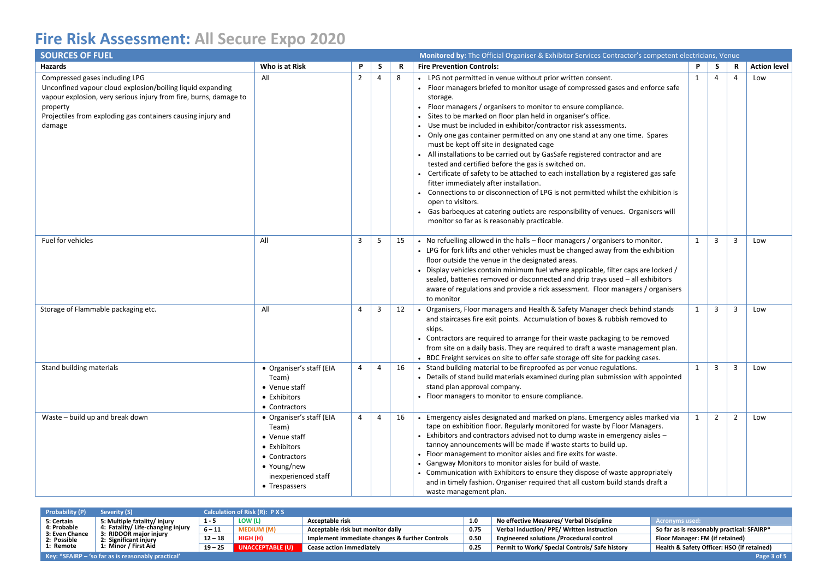| <b>SOURCES OF FUEL</b>                                                                                                                                                                                                                                  |                                                                                                                                            |                |                | <b>Monitored by:</b> The Official Organiser & Exhibitor Services Contractor's competent electricians, Venue |                                                                                                                                                                                                                                                                                                                                                                                                                                                                                                                                                                                                                                                                                                                                                                                                                                                                                                                                                                                                                     |              |                         |                |                     |
|---------------------------------------------------------------------------------------------------------------------------------------------------------------------------------------------------------------------------------------------------------|--------------------------------------------------------------------------------------------------------------------------------------------|----------------|----------------|-------------------------------------------------------------------------------------------------------------|---------------------------------------------------------------------------------------------------------------------------------------------------------------------------------------------------------------------------------------------------------------------------------------------------------------------------------------------------------------------------------------------------------------------------------------------------------------------------------------------------------------------------------------------------------------------------------------------------------------------------------------------------------------------------------------------------------------------------------------------------------------------------------------------------------------------------------------------------------------------------------------------------------------------------------------------------------------------------------------------------------------------|--------------|-------------------------|----------------|---------------------|
| <b>Hazards</b>                                                                                                                                                                                                                                          | Who is at Risk                                                                                                                             | P              | S              | R                                                                                                           | <b>Fire Prevention Controls:</b>                                                                                                                                                                                                                                                                                                                                                                                                                                                                                                                                                                                                                                                                                                                                                                                                                                                                                                                                                                                    | P            | S.                      | R              | <b>Action level</b> |
| Compressed gases including LPG<br>Unconfined vapour cloud explosion/boiling liquid expanding<br>vapour explosion, very serious injury from fire, burns, damage to<br>property<br>Projectiles from exploding gas containers causing injury and<br>damage | All                                                                                                                                        | $\overline{2}$ | $\overline{4}$ | 8                                                                                                           | • LPG not permitted in venue without prior written consent.<br>• Floor managers briefed to monitor usage of compressed gases and enforce safe<br>storage.<br>• Floor managers / organisers to monitor to ensure compliance.<br>· Sites to be marked on floor plan held in organiser's office.<br>Use must be included in exhibitor/contractor risk assessments.<br>• Only one gas container permitted on any one stand at any one time. Spares<br>must be kept off site in designated cage<br>• All installations to be carried out by GasSafe registered contractor and are<br>tested and certified before the gas is switched on.<br>• Certificate of safety to be attached to each installation by a registered gas safe<br>fitter immediately after installation.<br>Connections to or disconnection of LPG is not permitted whilst the exhibition is<br>open to visitors.<br>• Gas barbeques at catering outlets are responsibility of venues. Organisers will<br>monitor so far as is reasonably practicable. | $\mathbf{1}$ | 4                       | 4              | Low                 |
| Fuel for vehicles                                                                                                                                                                                                                                       | All                                                                                                                                        | 3              | 5              | 15                                                                                                          | • No refuelling allowed in the halls – floor managers / organisers to monitor.<br>• LPG for fork lifts and other vehicles must be changed away from the exhibition<br>floor outside the venue in the designated areas.<br>Display vehicles contain minimum fuel where applicable, filter caps are locked /<br>sealed, batteries removed or disconnected and drip trays used - all exhibitors<br>aware of regulations and provide a rick assessment. Floor managers / organisers<br>to monitor                                                                                                                                                                                                                                                                                                                                                                                                                                                                                                                       | $\mathbf{1}$ | $\overline{3}$          | 3              | Low                 |
| Storage of Flammable packaging etc.                                                                                                                                                                                                                     | All                                                                                                                                        | $\overline{4}$ | 3              | 12                                                                                                          | Organisers, Floor managers and Health & Safety Manager check behind stands<br>and staircases fire exit points. Accumulation of boxes & rubbish removed to<br>skips.<br>• Contractors are required to arrange for their waste packaging to be removed<br>from site on a daily basis. They are required to draft a waste management plan.<br>• BDC Freight services on site to offer safe storage off site for packing cases.                                                                                                                                                                                                                                                                                                                                                                                                                                                                                                                                                                                         | $\mathbf{1}$ | $\overline{\mathbf{3}}$ | 3              | Low                 |
| Stand building materials                                                                                                                                                                                                                                | • Organiser's staff (EIA<br>Team)<br>• Venue staff<br>• Exhibitors<br>• Contractors                                                        | 4              | 4              | 16                                                                                                          | Stand building material to be fireproofed as per venue regulations.<br>Details of stand build materials examined during plan submission with appointed<br>stand plan approval company.<br>• Floor managers to monitor to ensure compliance.                                                                                                                                                                                                                                                                                                                                                                                                                                                                                                                                                                                                                                                                                                                                                                         | $\mathbf{1}$ | $\overline{3}$          | 3              | Low                 |
| Waste - build up and break down                                                                                                                                                                                                                         | • Organiser's staff (EIA<br>Team)<br>• Venue staff<br>• Exhibitors<br>• Contractors<br>• Young/new<br>inexperienced staff<br>• Trespassers | $\overline{4}$ | 4              | 16                                                                                                          | Emergency aisles designated and marked on plans. Emergency aisles marked via<br>tape on exhibition floor. Regularly monitored for waste by Floor Managers.<br>- Exhibitors and contractors advised not to dump waste in emergency aisles -<br>tannoy announcements will be made if waste starts to build up.<br>• Floor management to monitor aisles and fire exits for waste.<br>• Gangway Monitors to monitor aisles for build of waste.<br>• Communication with Exhibitors to ensure they dispose of waste appropriately<br>and in timely fashion. Organiser required that all custom build stands draft a<br>waste management plan.                                                                                                                                                                                                                                                                                                                                                                             | $\mathbf{1}$ | $\overline{2}$          | $\overline{2}$ | Low                 |

| Probability (P)               | Severity (S)                                                               |           | Calculation of Risk (R): P X S |                                                |      |                                                                                          |                                            |  |  |  |
|-------------------------------|----------------------------------------------------------------------------|-----------|--------------------------------|------------------------------------------------|------|------------------------------------------------------------------------------------------|--------------------------------------------|--|--|--|
| 5: Certain                    | 5: Multiple fatality/ injury                                               | $1 - 5$   | LOW (L)                        | Acceptable risk                                |      | No effective Measures/ Verbal Discipline                                                 | <b>Acronyms used:</b>                      |  |  |  |
| 4: Probable<br>3: Even Chance | 4: Fatality/Life-changing injury<br>3: RIDDOR major injury                 | $6 - 11$  | <b>MEDIUM (M)</b>              | Acceptable risk but monitor daily<br>0.75      |      | So far as is reasonably practical: SFAIRP*<br>Verbal induction/ PPE/ Written instruction |                                            |  |  |  |
| 2: Possible                   | 2: Significant injury                                                      | $12 - 18$ | HIGH (H)                       | Implement immediate changes & further Controls | 0.50 | <b>Engineered solutions / Procedural control</b>                                         | Floor Manager: FM (if retained)            |  |  |  |
| 1: Remote                     | 1: Minor / First Aid                                                       | $19 - 25$ | UNACCEPTABLE (U)               | <b>Cease action immediately</b>                | 0.25 | Permit to Work/ Special Controls/ Safe history                                           | Health & Safety Officer: HSO (if retained) |  |  |  |
|                               | <b>Key: *SFAIRP</b> $-$ 'so far as is reasonably practical'<br>Page 3 of 5 |           |                                |                                                |      |                                                                                          |                                            |  |  |  |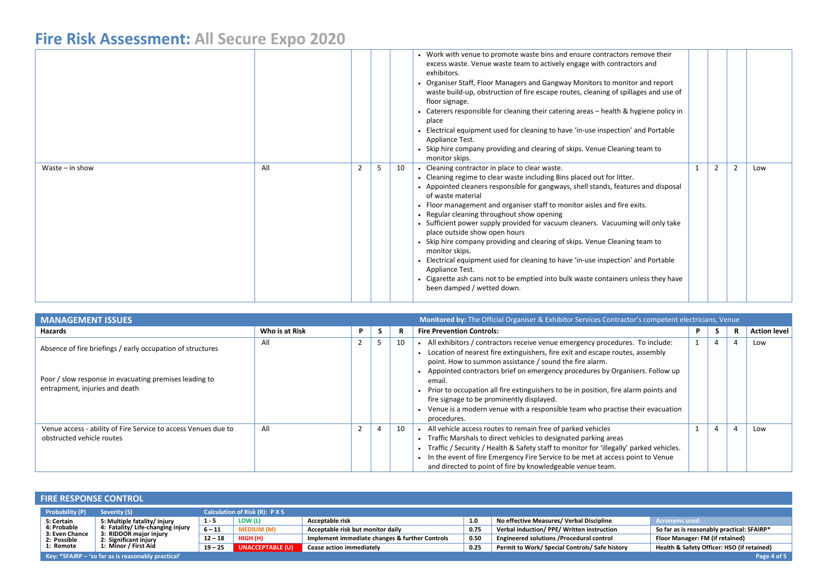|                   |     |   |    | • Work with venue to promote waste bins and ensure contractors remove their<br>excess waste. Venue waste team to actively engage with contractors and<br>exhibitors.<br>• Organiser Staff, Floor Managers and Gangway Monitors to monitor and report<br>waste build-up, obstruction of fire escape routes, cleaning of spillages and use of<br>floor signage.<br>Caterers responsible for cleaning their catering areas – health & hygiene policy in<br>place<br>Electrical equipment used for cleaning to have 'in-use inspection' and Portable<br>Appliance Test.<br>• Skip hire company providing and clearing of skips. Venue Cleaning team to<br>monitor skips.                                                                                                                                          |   |                |     |
|-------------------|-----|---|----|---------------------------------------------------------------------------------------------------------------------------------------------------------------------------------------------------------------------------------------------------------------------------------------------------------------------------------------------------------------------------------------------------------------------------------------------------------------------------------------------------------------------------------------------------------------------------------------------------------------------------------------------------------------------------------------------------------------------------------------------------------------------------------------------------------------|---|----------------|-----|
| Waste $-$ in show | All | 5 | 10 | • Cleaning contractor in place to clear waste.<br>• Cleaning regime to clear waste including Bins placed out for litter.<br>• Appointed cleaners responsible for gangways, shell stands, features and disposal<br>of waste material<br>• Floor management and organiser staff to monitor aisles and fire exits.<br>• Regular cleaning throughout show opening<br>• Sufficient power supply provided for vacuum cleaners. Vacuuming will only take<br>place outside show open hours<br>• Skip hire company providing and clearing of skips. Venue Cleaning team to<br>monitor skips.<br>Electrical equipment used for cleaning to have 'in-use inspection' and Portable<br>Appliance Test.<br>• Cigarette ash cans not to be emptied into bulk waste containers unless they have<br>been damped / wetted down. | 2 | $\overline{2}$ | Low |

| <b>MANAGEMENT ISSUES</b>                                                                                                                               |                | Monitored by: The Official Organiser & Exhibitor Services Contractor's competent electricians, Venue |    |                                                                                                                                                                                                                                                                                                                                                                                                                                                                                                                                                                |              |   |  |                     |
|--------------------------------------------------------------------------------------------------------------------------------------------------------|----------------|------------------------------------------------------------------------------------------------------|----|----------------------------------------------------------------------------------------------------------------------------------------------------------------------------------------------------------------------------------------------------------------------------------------------------------------------------------------------------------------------------------------------------------------------------------------------------------------------------------------------------------------------------------------------------------------|--------------|---|--|---------------------|
| Hazards                                                                                                                                                | Who is at Risk | P                                                                                                    |    | <b>Fire Prevention Controls:</b>                                                                                                                                                                                                                                                                                                                                                                                                                                                                                                                               |              |   |  | <b>Action level</b> |
| Absence of fire briefings / early occupation of structures<br>Poor / slow response in evacuating premises leading to<br>entrapment, injuries and death | All            |                                                                                                      | 10 | . All exhibitors / contractors receive venue emergency procedures. To include:<br>• Location of nearest fire extinguishers, fire exit and escape routes, assembly<br>point. How to summon assistance / sound the fire alarm.<br>• Appointed contractors brief on emergency procedures by Organisers. Follow up<br>email.<br>• Prior to occupation all fire extinguishers to be in position, fire alarm points and<br>fire signage to be prominently displayed.<br>Venue is a modern venue with a responsible team who practise their evacuation<br>procedures. | $\mathbf{1}$ | 4 |  | Low                 |
| Venue access - ability of Fire Service to access Venues due to<br>obstructed vehicle routes                                                            | All            |                                                                                                      | 10 | • All vehicle access routes to remain free of parked vehicles<br>• Traffic Marshals to direct vehicles to designated parking areas<br>Traffic / Security / Health & Safety staff to monitor for 'illegally' parked vehicles.<br>. In the event of fire Emergency Fire Service to be met at access point to Venue<br>and directed to point of fire by knowledgeable venue team.                                                                                                                                                                                 |              |   |  | Low                 |

|                               | <b>FIRE RESPONSE CONTROL</b>                                               |           |                                     |                                                |      |                                                |                                            |  |  |  |  |  |  |
|-------------------------------|----------------------------------------------------------------------------|-----------|-------------------------------------|------------------------------------------------|------|------------------------------------------------|--------------------------------------------|--|--|--|--|--|--|
| <b>Probability (P)</b>        | Severity (S)                                                               |           | <b>Calculation of Risk (R): PXS</b> |                                                |      |                                                |                                            |  |  |  |  |  |  |
| 5: Certain                    | 5: Multiple fatality/ injury                                               | $1 - 5$   | LOW (L)                             | Acceptable risk                                | 1.0  | No effective Measures/ Verbal Discipline       | <b>Acronyms used:</b>                      |  |  |  |  |  |  |
| 4: Probable<br>3: Even Chance | 4: Fatality/ Life-changing injury<br>3: RIDDOR major injury                | $6 - 11$  | <b>MEDIUM (M)</b>                   | Acceptable risk but monitor daily              | 0.75 | Verbal induction/ PPE/ Written instruction     | So far as is reasonably practical: SFAIRP* |  |  |  |  |  |  |
| 2: Possible                   | 2: Significant injury                                                      | $12 - 18$ | HIGH (H)                            | Implement immediate changes & further Controls | 0.50 | Engineered solutions /Procedural control       | Floor Manager: FM (if retained)            |  |  |  |  |  |  |
| 1: Remote                     | 1: Minor / First Aid                                                       | $19 - 25$ | UNACCEPTABLE (U)                    | Cease action immediately                       | 0.25 | Permit to Work/ Special Controls/ Safe history | Health & Safety Officer: HSO (if retained) |  |  |  |  |  |  |
|                               | <b>Key: *SFAIRP</b> $-$ 'so far as is reasonably practical'<br>Page 4 of 5 |           |                                     |                                                |      |                                                |                                            |  |  |  |  |  |  |